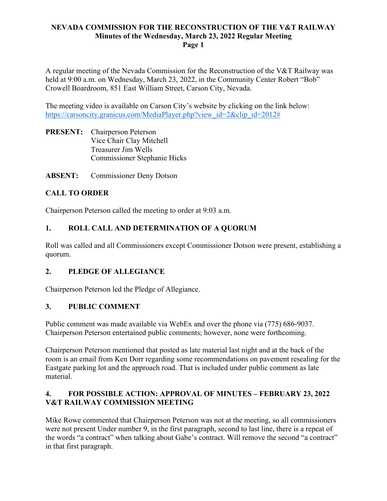A regular meeting of the Nevada Commission for the Reconstruction of the V&T Railway was held at 9:00 a.m. on Wednesday, March 23, 2022, in the Community Center Robert "Bob" Crowell Boardroom, 851 East William Street, Carson City, Nevada.

The meeting video is available on Carson City's website by clicking on the link below: https://carsoncity.granicus.com/MediaPlayer.php?view\_id=2&clip\_id=2012#

- **PRESENT:** Chairperson Peterson Vice Chair Clay Mitchell Treasurer Jim Wells Commissioner Stephanie Hicks
- **ABSENT:** Commissioner Deny Dotson

# **CALL TO ORDER**

Chairperson Peterson called the meeting to order at 9:03 a.m.

# **1. ROLL CALL AND DETERMINATION OF A QUORUM**

Roll was called and all Commissioners except Commissioner Dotson were present, establishing a quorum.

## **2. PLEDGE OF ALLEGIANCE**

Chairperson Peterson led the Pledge of Allegiance.

### **3. PUBLIC COMMENT**

Public comment was made available via WebEx and over the phone via (775) 686-9037. Chairperson Peterson entertained public comments; however, none were forthcoming.

Chairperson Peterson mentioned that posted as late material last night and at the back of the room is an email from Ken Dorr regarding some recommendations on pavement resealing for the Eastgate parking lot and the approach road. That is included under public comment as late material.

## **4. FOR POSSIBLE ACTION: APPROVAL OF MINUTES – FEBRUARY 23, 2022 V&T RAILWAY COMMISSION MEETING**

Mike Rowe commented that Chairperson Peterson was not at the meeting, so all commissioners were not present Under number 9, in the first paragraph, second to last line, there is a repeat of the words "a contract" when talking about Gabe's contract. Will remove the second "a contract" in that first paragraph.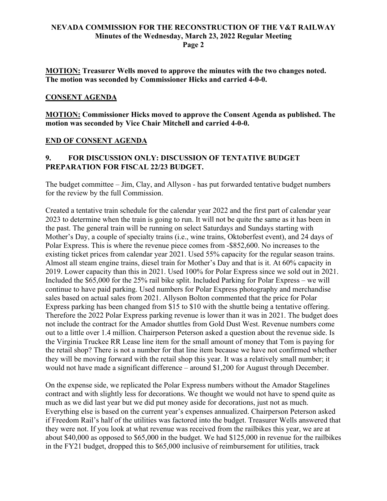**MOTION: Treasurer Wells moved to approve the minutes with the two changes noted. The motion was seconded by Commissioner Hicks and carried 4-0-0.**

#### **CONSENT AGENDA**

**MOTION: Commissioner Hicks moved to approve the Consent Agenda as published. The motion was seconded by Vice Chair Mitchell and carried 4-0-0.**

#### **END OF CONSENT AGENDA**

## **9. FOR DISCUSSION ONLY: DISCUSSION OF TENTATIVE BUDGET PREPARATION FOR FISCAL 22/23 BUDGET.**

The budget committee – Jim, Clay, and Allyson - has put forwarded tentative budget numbers for the review by the full Commission.

Created a tentative train schedule for the calendar year 2022 and the first part of calendar year 2023 to determine when the train is going to run. It will not be quite the same as it has been in the past. The general train will be running on select Saturdays and Sundays starting with Mother's Day, a couple of specialty trains (i.e., wine trains, Oktoberfest event), and 24 days of Polar Express. This is where the revenue piece comes from -\$852,600. No increases to the existing ticket prices from calendar year 2021. Used 55% capacity for the regular season trains. Almost all steam engine trains, diesel train for Mother's Day and that is it. At 60% capacity in 2019. Lower capacity than this in 2021. Used 100% for Polar Express since we sold out in 2021. Included the \$65,000 for the 25% rail bike split. Included Parking for Polar Express – we will continue to have paid parking. Used numbers for Polar Express photography and merchandise sales based on actual sales from 2021. Allyson Bolton commented that the price for Polar Express parking has been changed from \$15 to \$10 with the shuttle being a tentative offering. Therefore the 2022 Polar Express parking revenue is lower than it was in 2021. The budget does not include the contract for the Amador shuttles from Gold Dust West. Revenue numbers come out to a little over 1.4 million. Chairperson Peterson asked a question about the revenue side. Is the Virginia Truckee RR Lease line item for the small amount of money that Tom is paying for the retail shop? There is not a number for that line item because we have not confirmed whether they will be moving forward with the retail shop this year. It was a relatively small number; it would not have made a significant difference – around \$1,200 for August through December.

On the expense side, we replicated the Polar Express numbers without the Amador Stagelines contract and with slightly less for decorations. We thought we would not have to spend quite as much as we did last year but we did put money aside for decorations, just not as much. Everything else is based on the current year's expenses annualized. Chairperson Peterson asked if Freedom Rail's half of the utilities was factored into the budget. Treasurer Wells answered that they were not. If you look at what revenue was received from the railbikes this year, we are at about \$40,000 as opposed to \$65,000 in the budget. We had \$125,000 in revenue for the railbikes in the FY21 budget, dropped this to \$65,000 inclusive of reimbursement for utilities, track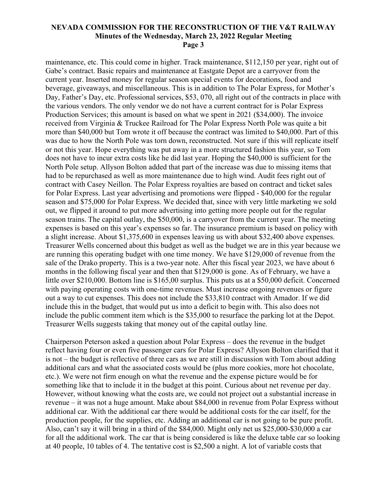maintenance, etc. This could come in higher. Track maintenance, \$112,150 per year, right out of Gabe's contract. Basic repairs and maintenance at Eastgate Depot are a carryover from the current year. Inserted money for regular season special events for decorations, food and beverage, giveaways, and miscellaneous. This is in addition to The Polar Express, for Mother's Day, Father's Day, etc. Professional services, \$53, 070, all right out of the contracts in place with the various vendors. The only vendor we do not have a current contract for is Polar Express Production Services; this amount is based on what we spent in 2021 (\$34,000). The invoice received from Virginia & Truckee Railroad for The Polar Express North Pole was quite a bit more than \$40,000 but Tom wrote it off because the contract was limited to \$40,000. Part of this was due to how the North Pole was torn down, reconstructed. Not sure if this will replicate itself or not this year. Hope everything was put away in a more structured fashion this year, so Tom does not have to incur extra costs like he did last year. Hoping the \$40,000 is sufficient for the North Pole setup. Allyson Bolton added that part of the increase was due to missing items that had to be repurchased as well as more maintenance due to high wind. Audit fees right out of contract with Casey Neillon. The Polar Express royalties are based on contract and ticket sales for Polar Express. Last year advertising and promotions were flipped - \$40,000 for the regular season and \$75,000 for Polar Express. We decided that, since with very little marketing we sold out, we flipped it around to put more advertising into getting more people out for the regular season trains. The capital outlay, the \$50,000, is a carryover from the current year. The meeting expenses is based on this year's expenses so far. The insurance premium is based on policy with a slight increase. About \$1,375,600 in expenses leaving us with about \$32,400 above expenses. Treasurer Wells concerned about this budget as well as the budget we are in this year because we are running this operating budget with one time money. We have \$129,000 of revenue from the sale of the Drako property. This is a two-year note. After this fiscal year 2023, we have about 6 months in the following fiscal year and then that \$129,000 is gone. As of February, we have a little over \$210,000. Bottom line is \$165,00 surplus. This puts us at a \$50,000 deficit. Concerned with paying operating costs with one-time revenues. Must increase ongoing revenues or figure out a way to cut expenses. This does not include the \$33,810 contract with Amador. If we did include this in the budget, that would put us into a deficit to begin with. This also does not include the public comment item which is the \$35,000 to resurface the parking lot at the Depot. Treasurer Wells suggests taking that money out of the capital outlay line.

Chairperson Peterson asked a question about Polar Express – does the revenue in the budget reflect having four or even five passenger cars for Polar Express? Allyson Bolton clarified that it is not – the budget is reflective of three cars as we are still in discussion with Tom about adding additional cars and what the associated costs would be (plus more cookies, more hot chocolate, etc.). We were not firm enough on what the revenue and the expense picture would be for something like that to include it in the budget at this point. Curious about net revenue per day. However, without knowing what the costs are, we could not project out a substantial increase in revenue – it was not a huge amount. Make about \$84,000 in revenue from Polar Express without additional car. With the additional car there would be additional costs for the car itself, for the production people, for the supplies, etc. Adding an additional car is not going to be pure profit. Also, can't say it will bring in a third of the \$84,000. Might only net us \$25,000-\$30,000 a car for all the additional work. The car that is being considered is like the deluxe table car so looking at 40 people, 10 tables of 4. The tentative cost is \$2,500 a night. A lot of variable costs that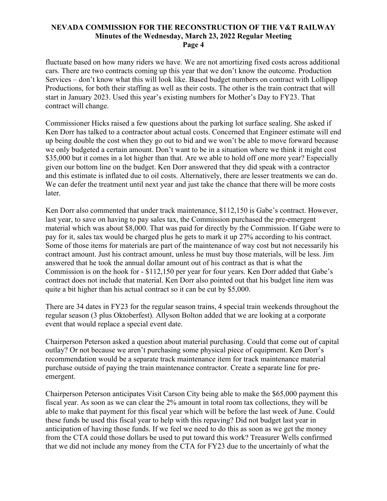fluctuate based on how many riders we have. We are not amortizing fixed costs across additional cars. There are two contracts coming up this year that we don't know the outcome. Production Services – don't know what this will look like. Based budget numbers on contract with Lollipop Productions, for both their staffing as well as their costs. The other is the train contract that will start in January 2023. Used this year's existing numbers for Mother's Day to FY23. That contract will change.

Commissioner Hicks raised a few questions about the parking lot surface sealing. She asked if Ken Dorr has talked to a contractor about actual costs. Concerned that Engineer estimate will end up being double the cost when they go out to bid and we won't be able to move forward because we only budgeted a certain amount. Don't want to be in a situation where we think it might cost \$35,000 but it comes in a lot higher than that. Are we able to hold off one more year? Especially given our bottom line on the budget. Ken Dorr answered that they did speak with a contractor and this estimate is inflated due to oil costs. Alternatively, there are lesser treatments we can do. We can defer the treatment until next year and just take the chance that there will be more costs later.

Ken Dorr also commented that under track maintenance, \$112,150 is Gabe's contract. However, last year, to save on having to pay sales tax, the Commission purchased the pre-emergent material which was about \$8,000. That was paid for directly by the Commission. If Gabe were to pay for it, sales tax would be charged plus he gets to mark it up 27% according to his contract. Some of those items for materials are part of the maintenance of way cost but not necessarily his contract amount. Just his contract amount, unless he must buy those materials, will be less. Jim answered that he took the annual dollar amount out of his contract as that is what the Commission is on the hook for - \$112,150 per year for four years. Ken Dorr added that Gabe's contract does not include that material. Ken Dorr also pointed out that his budget line item was quite a bit higher than his actual contract so it can be cut by \$5,000.

There are 34 dates in FY23 for the regular season trains, 4 special train weekends throughout the regular season (3 plus Oktoberfest). Allyson Bolton added that we are looking at a corporate event that would replace a special event date.

Chairperson Peterson asked a question about material purchasing. Could that come out of capital outlay? Or not because we aren't purchasing some physical piece of equipment. Ken Dorr's recommendation would be a separate track maintenance item for track maintenance material purchase outside of paying the train maintenance contractor. Create a separate line for preemergent.

Chairperson Peterson anticipates Visit Carson City being able to make the \$65,000 payment this fiscal year. As soon as we can clear the 2% amount in total room tax collections, they will be able to make that payment for this fiscal year which will be before the last week of June. Could these funds be used this fiscal year to help with this repaving? Did not budget last year in anticipation of having those funds. If we feel we need to do this as soon as we get the money from the CTA could those dollars be used to put toward this work? Treasurer Wells confirmed that we did not include any money from the CTA for FY23 due to the uncertainly of what the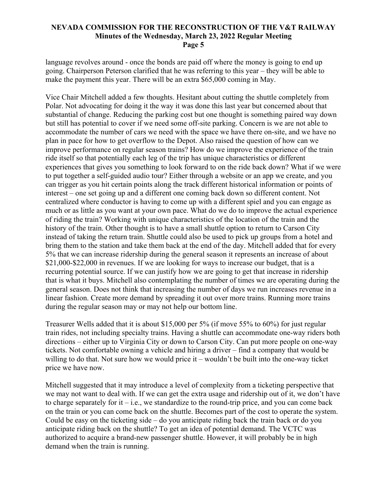language revolves around - once the bonds are paid off where the money is going to end up going. Chairperson Peterson clarified that he was referring to this year – they will be able to make the payment this year. There will be an extra \$65,000 coming in May.

Vice Chair Mitchell added a few thoughts. Hesitant about cutting the shuttle completely from Polar. Not advocating for doing it the way it was done this last year but concerned about that substantial of change. Reducing the parking cost but one thought is something paired way down but still has potential to cover if we need some off-site parking. Concern is we are not able to accommodate the number of cars we need with the space we have there on-site, and we have no plan in pace for how to get overflow to the Depot. Also raised the question of how can we improve performance on regular season trains? How do we improve the experience of the train ride itself so that potentially each leg of the trip has unique characteristics or different experiences that gives you something to look forward to on the ride back down? What if we were to put together a self-guided audio tour? Either through a website or an app we create, and you can trigger as you hit certain points along the track different historical information or points of interest – one set going up and a different one coming back down so different content. Not centralized where conductor is having to come up with a different spiel and you can engage as much or as little as you want at your own pace. What do we do to improve the actual experience of riding the train? Working with unique characteristics of the location of the train and the history of the train. Other thought is to have a small shuttle option to return to Carson City instead of taking the return train. Shuttle could also be used to pick up groups from a hotel and bring them to the station and take them back at the end of the day. Mitchell added that for every 5% that we can increase ridership during the general season it represents an increase of about \$21,000-\$22,000 in revenues. If we are looking for ways to increase our budget, that is a recurring potential source. If we can justify how we are going to get that increase in ridership that is what it buys. Mitchell also contemplating the number of times we are operating during the general season. Does not think that increasing the number of days we run increases revenue in a linear fashion. Create more demand by spreading it out over more trains. Running more trains during the regular season may or may not help our bottom line.

Treasurer Wells added that it is about \$15,000 per 5% (if move 55% to 60%) for just regular train rides, not including specialty trains. Having a shuttle can accommodate one-way riders both directions – either up to Virginia City or down to Carson City. Can put more people on one-way tickets. Not comfortable owning a vehicle and hiring a driver – find a company that would be willing to do that. Not sure how we would price it – wouldn't be built into the one-way ticket price we have now.

Mitchell suggested that it may introduce a level of complexity from a ticketing perspective that we may not want to deal with. If we can get the extra usage and ridership out of it, we don't have to charge separately for it  $-i.e.,$  we standardize to the round-trip price, and you can come back on the train or you can come back on the shuttle. Becomes part of the cost to operate the system. Could be easy on the ticketing side – do you anticipate riding back the train back or do you anticipate riding back on the shuttle? To get an idea of potential demand. The VCTC was authorized to acquire a brand-new passenger shuttle. However, it will probably be in high demand when the train is running.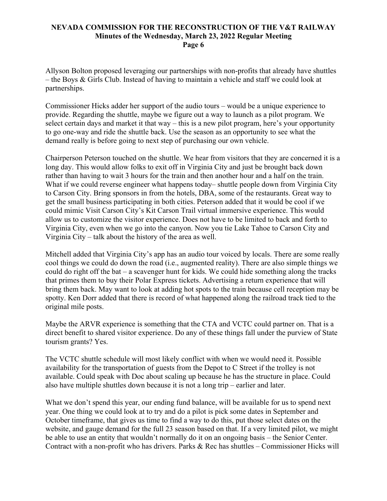Allyson Bolton proposed leveraging our partnerships with non-profits that already have shuttles – the Boys & Girls Club. Instead of having to maintain a vehicle and staff we could look at partnerships.

Commissioner Hicks adder her support of the audio tours – would be a unique experience to provide. Regarding the shuttle, maybe we figure out a way to launch as a pilot program. We select certain days and market it that way – this is a new pilot program, here's your opportunity to go one-way and ride the shuttle back. Use the season as an opportunity to see what the demand really is before going to next step of purchasing our own vehicle.

Chairperson Peterson touched on the shuttle. We hear from visitors that they are concerned it is a long day. This would allow folks to exit off in Virginia City and just be brought back down rather than having to wait 3 hours for the train and then another hour and a half on the train. What if we could reverse engineer what happens today– shuttle people down from Virginia City to Carson City. Bring sponsors in from the hotels, DBA, some of the restaurants. Great way to get the small business participating in both cities. Peterson added that it would be cool if we could mimic Visit Carson City's Kit Carson Trail virtual immersive experience. This would allow us to customize the visitor experience. Does not have to be limited to back and forth to Virginia City, even when we go into the canyon. Now you tie Lake Tahoe to Carson City and Virginia City – talk about the history of the area as well.

Mitchell added that Virginia City's app has an audio tour voiced by locals. There are some really cool things we could do down the road (i.e., augmented reality). There are also simple things we could do right off the bat – a scavenger hunt for kids. We could hide something along the tracks that primes them to buy their Polar Express tickets. Advertising a return experience that will bring them back. May want to look at adding hot spots to the train because cell reception may be spotty. Ken Dorr added that there is record of what happened along the railroad track tied to the original mile posts.

Maybe the ARVR experience is something that the CTA and VCTC could partner on. That is a direct benefit to shared visitor experience. Do any of these things fall under the purview of State tourism grants? Yes.

The VCTC shuttle schedule will most likely conflict with when we would need it. Possible availability for the transportation of guests from the Depot to C Street if the trolley is not available. Could speak with Doc about scaling up because he has the structure in place. Could also have multiple shuttles down because it is not a long trip – earlier and later.

What we don't spend this year, our ending fund balance, will be available for us to spend next year. One thing we could look at to try and do a pilot is pick some dates in September and October timeframe, that gives us time to find a way to do this, put those select dates on the website, and gauge demand for the full 23 season based on that. If a very limited pilot, we might be able to use an entity that wouldn't normally do it on an ongoing basis – the Senior Center. Contract with a non-profit who has drivers. Parks & Rec has shuttles – Commissioner Hicks will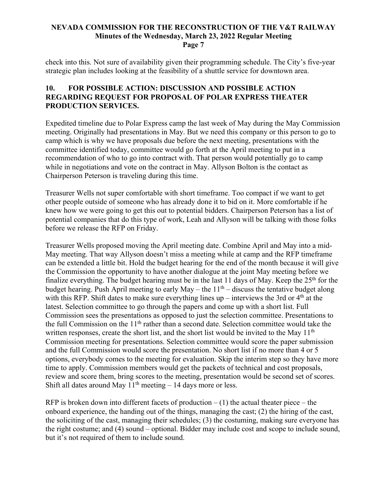check into this. Not sure of availability given their programming schedule. The City's five-year strategic plan includes looking at the feasibility of a shuttle service for downtown area.

## **10. FOR POSSIBLE ACTION: DISCUSSION AND POSSIBLE ACTION REGARDING REQUEST FOR PROPOSAL OF POLAR EXPRESS THEATER PRODUCTION SERVICES.**

Expedited timeline due to Polar Express camp the last week of May during the May Commission meeting. Originally had presentations in May. But we need this company or this person to go to camp which is why we have proposals due before the next meeting, presentations with the committee identified today, committee would go forth at the April meeting to put in a recommendation of who to go into contract with. That person would potentially go to camp while in negotiations and vote on the contract in May. Allyson Bolton is the contact as Chairperson Peterson is traveling during this time.

Treasurer Wells not super comfortable with short timeframe. Too compact if we want to get other people outside of someone who has already done it to bid on it. More comfortable if he knew how we were going to get this out to potential bidders. Chairperson Peterson has a list of potential companies that do this type of work, Leah and Allyson will be talking with those folks before we release the RFP on Friday.

Treasurer Wells proposed moving the April meeting date. Combine April and May into a mid-May meeting. That way Allyson doesn't miss a meeting while at camp and the RFP timeframe can be extended a little bit. Hold the budget hearing for the end of the month because it will give the Commission the opportunity to have another dialogue at the joint May meeting before we finalize everything. The budget hearing must be in the last 11 days of May. Keep the  $25<sup>th</sup>$  for the budget hearing. Push April meeting to early May – the  $11<sup>th</sup>$  – discuss the tentative budget along with this RFP. Shift dates to make sure everything lines up – interviews the 3rd or  $4<sup>th</sup>$  at the latest. Selection committee to go through the papers and come up with a short list. Full Commission sees the presentations as opposed to just the selection committee. Presentations to the full Commission on the 11th rather than a second date. Selection committee would take the written responses, create the short list, and the short list would be invited to the May 11<sup>th</sup> Commission meeting for presentations. Selection committee would score the paper submission and the full Commission would score the presentation. No short list if no more than 4 or 5 options, everybody comes to the meeting for evaluation. Skip the interim step so they have more time to apply. Commission members would get the packets of technical and cost proposals, review and score them, bring scores to the meeting, presentation would be second set of scores. Shift all dates around May  $11<sup>th</sup>$  meeting  $-14$  days more or less.

RFP is broken down into different facets of production  $- (1)$  the actual theater piece – the onboard experience, the handing out of the things, managing the cast; (2) the hiring of the cast, the soliciting of the cast, managing their schedules; (3) the costuming, making sure everyone has the right costume; and (4) sound – optional. Bidder may include cost and scope to include sound, but it's not required of them to include sound.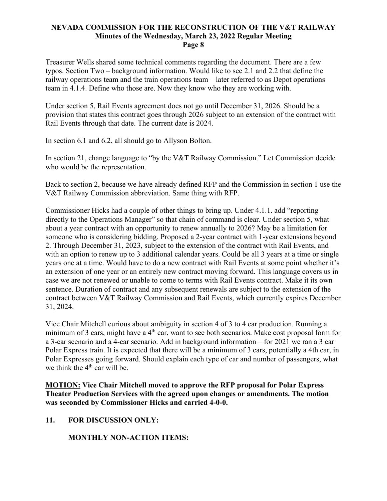Treasurer Wells shared some technical comments regarding the document. There are a few typos. Section Two – background information. Would like to see 2.1 and 2.2 that define the railway operations team and the train operations team – later referred to as Depot operations team in 4.1.4. Define who those are. Now they know who they are working with.

Under section 5, Rail Events agreement does not go until December 31, 2026. Should be a provision that states this contract goes through 2026 subject to an extension of the contract with Rail Events through that date. The current date is 2024.

In section 6.1 and 6.2, all should go to Allyson Bolton.

In section 21, change language to "by the V&T Railway Commission." Let Commission decide who would be the representation.

Back to section 2, because we have already defined RFP and the Commission in section 1 use the V&T Railway Commission abbreviation. Same thing with RFP.

Commissioner Hicks had a couple of other things to bring up. Under 4.1.1. add "reporting directly to the Operations Manager" so that chain of command is clear. Under section 5, what about a year contract with an opportunity to renew annually to 2026? May be a limitation for someone who is considering bidding. Proposed a 2-year contract with 1-year extensions beyond 2. Through December 31, 2023, subject to the extension of the contract with Rail Events, and with an option to renew up to 3 additional calendar years. Could be all 3 years at a time or single years one at a time. Would have to do a new contract with Rail Events at some point whether it's an extension of one year or an entirely new contract moving forward. This language covers us in case we are not renewed or unable to come to terms with Rail Events contract. Make it its own sentence. Duration of contract and any subsequent renewals are subject to the extension of the contract between V&T Railway Commission and Rail Events, which currently expires December 31, 2024.

Vice Chair Mitchell curious about ambiguity in section 4 of 3 to 4 car production. Running a minimum of 3 cars, might have a  $4<sup>th</sup>$  car, want to see both scenarios. Make cost proposal form for a 3-car scenario and a 4-car scenario. Add in background information – for 2021 we ran a 3 car Polar Express train. It is expected that there will be a minimum of 3 cars, potentially a 4th car, in Polar Expresses going forward. Should explain each type of car and number of passengers, what we think the 4<sup>th</sup> car will be.

**MOTION: Vice Chair Mitchell moved to approve the RFP proposal for Polar Express Theater Production Services with the agreed upon changes or amendments. The motion was seconded by Commissioner Hicks and carried 4-0-0.**

## **11. FOR DISCUSSION ONLY:**

**MONTHLY NON-ACTION ITEMS:**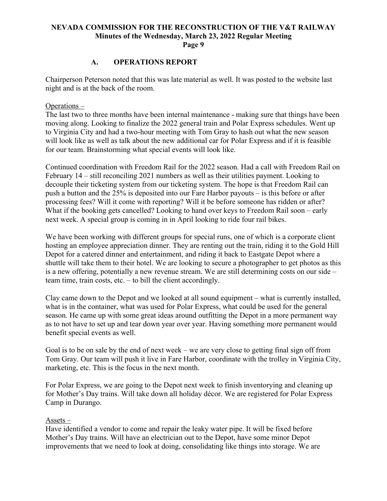## **A. OPERATIONS REPORT**

Chairperson Peterson noted that this was late material as well. It was posted to the website last night and is at the back of the room.

#### Operations –

The last two to three months have been internal maintenance - making sure that things have been moving along. Looking to finalize the 2022 general train and Polar Express schedules. Went up to Virginia City and had a two-hour meeting with Tom Gray to hash out what the new season will look like as well as talk about the new additional car for Polar Express and if it is feasible for our team. Brainstorming what special events will look like.

Continued coordination with Freedom Rail for the 2022 season. Had a call with Freedom Rail on February 14 – still reconciling 2021 numbers as well as their utilities payment. Looking to decouple their ticketing system from our ticketing system. The hope is that Freedom Rail can push a button and the 25% is deposited into our Fare Harbor payouts – is this before or after processing fees? Will it come with reporting? Will it be before someone has ridden or after? What if the booking gets cancelled? Looking to hand over keys to Freedom Rail soon – early next week. A special group is coming in in April looking to ride four rail bikes.

We have been working with different groups for special runs, one of which is a corporate client hosting an employee appreciation dinner. They are renting out the train, riding it to the Gold Hill Depot for a catered dinner and entertainment, and riding it back to Eastgate Depot where a shuttle will take them to their hotel. We are looking to secure a photographer to get photos as this is a new offering, potentially a new revenue stream. We are still determining costs on our side – team time, train costs, etc. – to bill the client accordingly.

Clay came down to the Depot and we looked at all sound equipment – what is currently installed, what is in the container, what was used for Polar Express, what could be used for the general season. He came up with some great ideas around outfitting the Depot in a more permanent way as to not have to set up and tear down year over year. Having something more permanent would benefit special events as well.

Goal is to be on sale by the end of next week – we are very close to getting final sign off from Tom Gray. Our team will push it live in Fare Harbor, coordinate with the trolley in Virginia City, marketing, etc. This is the focus in the next month.

For Polar Express, we are going to the Depot next week to finish inventorying and cleaning up for Mother's Day trains. Will take down all holiday décor. We are registered for Polar Express Camp in Durango.

#### Assets –

Have identified a vendor to come and repair the leaky water pipe. It will be fixed before Mother's Day trains. Will have an electrician out to the Depot, have some minor Depot improvements that we need to look at doing, consolidating like things into storage. We are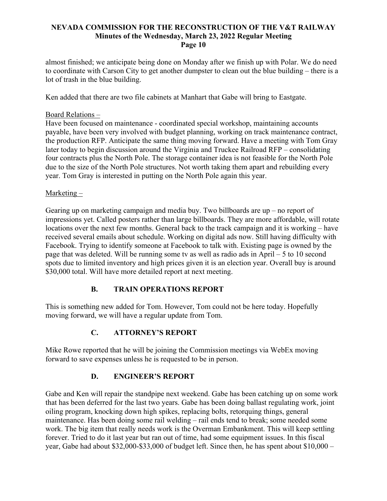almost finished; we anticipate being done on Monday after we finish up with Polar. We do need to coordinate with Carson City to get another dumpster to clean out the blue building – there is a lot of trash in the blue building.

Ken added that there are two file cabinets at Manhart that Gabe will bring to Eastgate.

# Board Relations –

Have been focused on maintenance - coordinated special workshop, maintaining accounts payable, have been very involved with budget planning, working on track maintenance contract, the production RFP. Anticipate the same thing moving forward. Have a meeting with Tom Gray later today to begin discussion around the Virginia and Truckee Railroad RFP – consolidating four contracts plus the North Pole. The storage container idea is not feasible for the North Pole due to the size of the North Pole structures. Not worth taking them apart and rebuilding every year. Tom Gray is interested in putting on the North Pole again this year.

# Marketing –

Gearing up on marketing campaign and media buy. Two billboards are up – no report of impressions yet. Called posters rather than large billboards. They are more affordable, will rotate locations over the next few months. General back to the track campaign and it is working – have received several emails about schedule. Working on digital ads now. Still having difficulty with Facebook. Trying to identify someone at Facebook to talk with. Existing page is owned by the page that was deleted. Will be running some tv as well as radio ads in April – 5 to 10 second spots due to limited inventory and high prices given it is an election year. Overall buy is around \$30,000 total. Will have more detailed report at next meeting.

# **B. TRAIN OPERATIONS REPORT**

This is something new added for Tom. However, Tom could not be here today. Hopefully moving forward, we will have a regular update from Tom.

# **C. ATTORNEY'S REPORT**

Mike Rowe reported that he will be joining the Commission meetings via WebEx moving forward to save expenses unless he is requested to be in person.

# **D. ENGINEER'S REPORT**

Gabe and Ken will repair the standpipe next weekend. Gabe has been catching up on some work that has been deferred for the last two years. Gabe has been doing ballast regulating work, joint oiling program, knocking down high spikes, replacing bolts, retorquing things, general maintenance. Has been doing some rail welding – rail ends tend to break; some needed some work. The big item that really needs work is the Overman Embankment. This will keep settling forever. Tried to do it last year but ran out of time, had some equipment issues. In this fiscal year, Gabe had about \$32,000-\$33,000 of budget left. Since then, he has spent about \$10,000 –